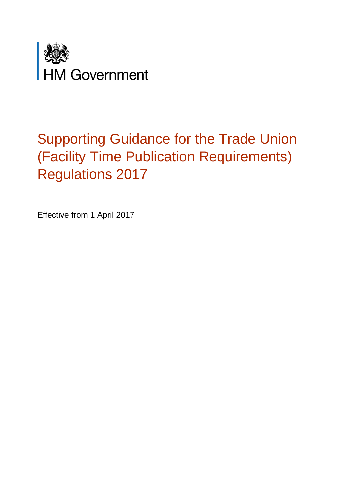

# Supporting Guidance for the Trade Union (Facility Time Publication Requirements) Regulations 2017

Effective from 1 April 2017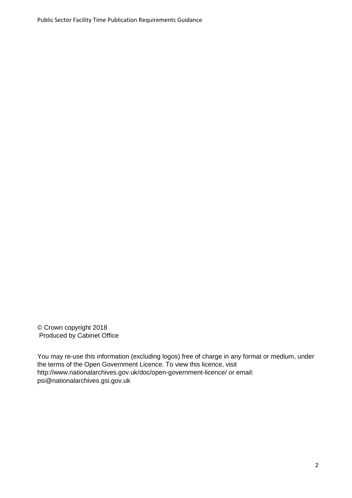© Crown copyright 2018 Produced by Cabinet Office

You may re-use this information (excluding logos) free of charge in any format or medium, under the terms of the Open Government Licence. To view this licence, visit http://www.nationalarchives.gov.uk/doc/open-government-licence/ or email: psi@nationalarchives.gsi.gov.uk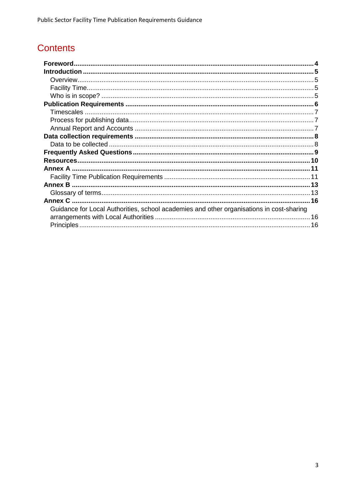# **Contents**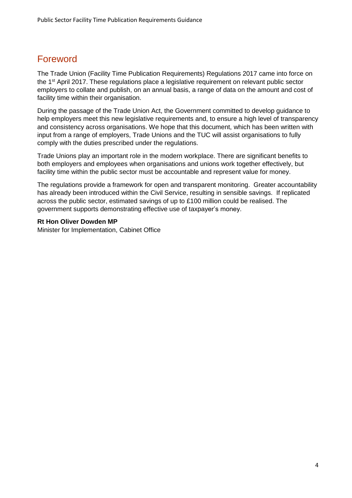# <span id="page-3-0"></span>Foreword

The Trade Union (Facility Time Publication Requirements) Regulations 2017 came into force on the 1<sup>st</sup> April 2017. These regulations place a legislative requirement on relevant public sector employers to collate and publish, on an annual basis, a range of data on the amount and cost of facility time within their organisation.

During the passage of the Trade Union Act, the Government committed to develop guidance to help employers meet this new legislative requirements and, to ensure a high level of transparency and consistency across organisations. We hope that this document, which has been written with input from a range of employers, Trade Unions and the TUC will assist organisations to fully comply with the duties prescribed under the regulations.

Trade Unions play an important role in the modern workplace. There are significant benefits to both employers and employees when organisations and unions work together effectively, but facility time within the public sector must be accountable and represent value for money.

The regulations provide a framework for open and transparent monitoring. Greater accountability has already been introduced within the Civil Service, resulting in sensible savings. If replicated across the public sector, estimated savings of up to £100 million could be realised. The government supports demonstrating effective use of taxpayer's money.

#### **Rt Hon Oliver Dowden MP**

Minister for Implementation, Cabinet Office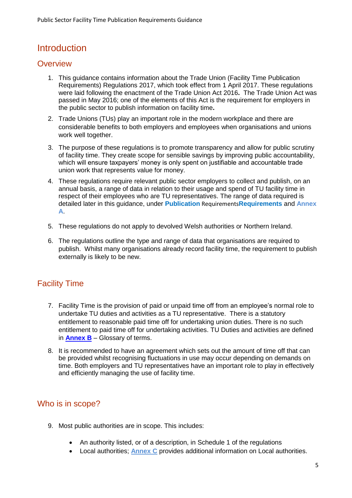# <span id="page-4-0"></span>Introduction

### <span id="page-4-1"></span>**Overview**

- 1. This guidance contains information about the Trade Union (Facility Time Publication Requirements) Regulations 2017, which took effect from 1 April 2017. These regulations were laid following the enactment of the Trade Union Act 2016**.** The Trade Union Act was passed in May 2016; one of the elements of this Act is the requirement for employers in the public sector to publish information on facility time**.**
- 2. Trade Unions (TUs) play an important role in the modern workplace and there are considerable benefits to both employers and employees when organisations and unions work well together.
- 3. The purpose of these regulations is to promote transparency and allow for public scrutiny of facility time. They create scope for sensible savings by improving public accountability, which will ensure taxpayers' money is only spent on justifiable and accountable trade union work that represents value for money.
- 4. These regulations require relevant public sector employers to collect and publish, on an annual basis, a range of data in relation to their usage and spend of TU facility time in respect of their employees who are TU representatives. The range of data required is detailed later in this guidance, under **Publication** [Requirements](#page-5-0)**Requirements** and **[Annex](#page-10-0)  [A](#page-10-0)**.
- 5. These regulations do not apply to devolved Welsh authorities or Northern Ireland.
- 6. The regulations outline the type and range of data that organisations are required to publish. Whilst many organisations already record facility time, the requirement to publish externally is likely to be new.

### <span id="page-4-2"></span>Facility Time

- 7. Facility Time is the provision of paid or unpaid time off from an employee's normal role to undertake TU duties and activities as a TU representative. There is a statutory entitlement to reasonable paid time off for undertaking union duties. There is no such entitlement to paid time off for undertaking activities. TU Duties and activities are defined in **[Annex B](#page-12-0)** – Glossary of terms.
- 8. It is recommended to have an agreement which sets out the amount of time off that can be provided whilst recognising fluctuations in use may occur depending on demands on time. Both employers and TU representatives have an important role to play in effectively and efficiently managing the use of facility time.

### <span id="page-4-3"></span>Who is in scope?

- 9. Most public authorities are in scope. This includes:
	- An authority listed, or of a description, in Schedule 1 of the regulations
	- Local authorities; **[Annex C](#page-15-0)** provides additional information on Local authorities.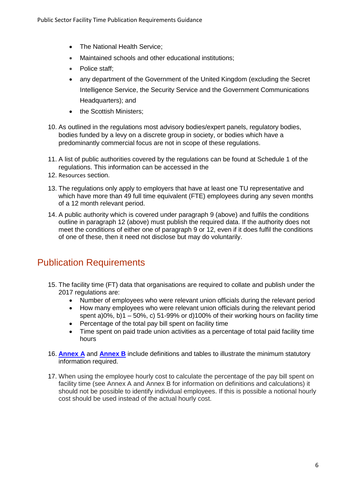- The National Health Service;
- Maintained schools and other educational institutions;
- Police staff;
- any department of the Government of the United Kingdom (excluding the Secret Intelligence Service, the Security Service and the Government Communications Headquarters); and
- the Scottish Ministers;
- 10. As outlined in the regulations most advisory bodies/expert panels, regulatory bodies, bodies funded by a levy on a discrete group in society, or bodies which have a predominantly commercial focus are not in scope of these regulations.
- 11. A list of public authorities covered by the regulations can be found at Schedule 1 of the regulations. This information can be accessed in the
- 12. [Resources](#page-9-1) section.
- 13. The regulations only apply to employers that have at least one TU representative and which have more than 49 full time equivalent (FTE) employees during any seven months of a 12 month relevant period.
- 14. A public authority which is covered under paragraph 9 (above) and fulfils the conditions outline in paragraph 12 (above) must publish the required data. If the authority does not meet the conditions of either one of paragraph 9 or 12, even if it does fulfil the conditions of one of these, then it need not disclose but may do voluntarily.

# <span id="page-5-0"></span>Publication Requirements

- 15. The facility time (FT) data that organisations are required to collate and publish under the 2017 regulations are:
	- Number of employees who were relevant union officials during the relevant period
	- How many employees who were relevant union officials during the relevant period spent a)0%, b)1 – 50%, c) 51-99% or d)100% of their working hours on facility time
	- Percentage of the total pay bill spent on facility time
	- Time spent on paid trade union activities as a percentage of total paid facility time hours
- 16. **[Annex A](#page-10-0)** and **[Annex B](#page-12-0)** include definitions and tables to illustrate the minimum statutory information required.
- 17. When using the employee hourly cost to calculate the percentage of the pay bill spent on facility time (see Annex A and Annex B for information on definitions and calculations) it should not be possible to identify individual employees. If this is possible a notional hourly cost should be used instead of the actual hourly cost.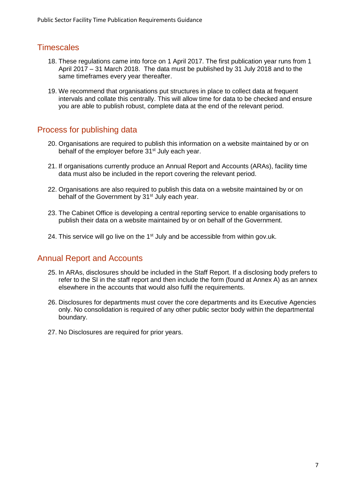### <span id="page-6-0"></span>**Timescales**

- 18. These regulations came into force on 1 April 2017. The first publication year runs from 1 April 2017 – 31 March 2018. The data must be published by 31 July 2018 and to the same timeframes every year thereafter.
- 19. We recommend that organisations put structures in place to collect data at frequent intervals and collate this centrally. This will allow time for data to be checked and ensure you are able to publish robust, complete data at the end of the relevant period.

### <span id="page-6-1"></span>Process for publishing data

- 20. Organisations are required to publish this information on a website maintained by or on behalf of the employer before  $31<sup>st</sup>$  July each year.
- 21. If organisations currently produce an Annual Report and Accounts (ARAs), facility time data must also be included in the report covering the relevant period.
- 22. Organisations are also required to publish this data on a website maintained by or on behalf of the Government by 31<sup>st</sup> July each year.
- 23. The Cabinet Office is developing a central reporting service to enable organisations to publish their data on a website maintained by or on behalf of the Government.
- 24. This service will go live on the  $1<sup>st</sup>$  July and be accessible from within gov.uk.

### <span id="page-6-2"></span>Annual Report and Accounts

- 25. In ARAs, disclosures should be included in the Staff Report. If a disclosing body prefers to refer to the SI in the staff report and then include the form (found at Annex A) as an annex elsewhere in the accounts that would also fulfil the requirements.
- 26. Disclosures for departments must cover the core departments and its Executive Agencies only. No consolidation is required of any other public sector body within the departmental boundary.
- 27. No Disclosures are required for prior years.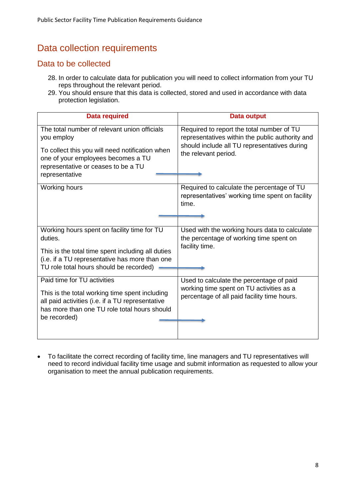# <span id="page-7-0"></span>Data collection requirements

### <span id="page-7-1"></span>Data to be collected

- 28. In order to calculate data for publication you will need to collect information from your TU reps throughout the relevant period.
- 29. You should ensure that this data is collected, stored and used in accordance with data protection legislation.

| <b>Data required</b>                                                                                                                                                                                         | Data output                                                                                                                                                          |
|--------------------------------------------------------------------------------------------------------------------------------------------------------------------------------------------------------------|----------------------------------------------------------------------------------------------------------------------------------------------------------------------|
| The total number of relevant union officials<br>you employ<br>To collect this you will need notification when<br>one of your employees becomes a TU<br>representative or ceases to be a TU<br>representative | Required to report the total number of TU<br>representatives within the public authority and<br>should include all TU representatives during<br>the relevant period. |
| Working hours                                                                                                                                                                                                | Required to calculate the percentage of TU<br>representatives' working time spent on facility<br>time.                                                               |
| Working hours spent on facility time for TU<br>duties.<br>This is the total time spent including all duties<br>(i.e. if a TU representative has more than one<br>TU role total hours should be recorded)     | Used with the working hours data to calculate<br>the percentage of working time spent on<br>facility time.                                                           |
| Paid time for TU activities<br>This is the total working time spent including<br>all paid activities (i.e. if a TU representative<br>has more than one TU role total hours should<br>be recorded)            | Used to calculate the percentage of paid<br>working time spent on TU activities as a<br>percentage of all paid facility time hours.                                  |

 To facilitate the correct recording of facility time, line managers and TU representatives will need to record individual facility time usage and submit information as requested to allow your organisation to meet the annual publication requirements.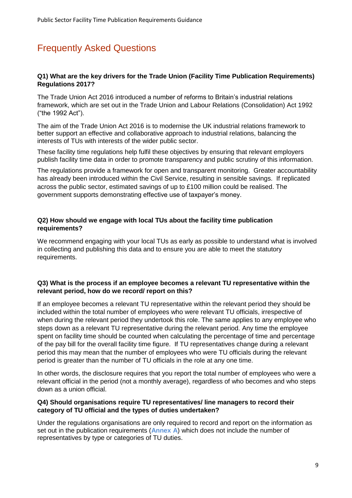# <span id="page-8-0"></span>Frequently Asked Questions

#### **Q1) What are the key drivers for the Trade Union (Facility Time Publication Requirements) Regulations 2017?**

The Trade Union Act 2016 introduced a number of reforms to Britain's industrial relations framework, which are set out in the Trade Union and Labour Relations (Consolidation) Act 1992 ("the 1992 Act").

The aim of the Trade Union Act 2016 is to modernise the UK industrial relations framework to better support an effective and collaborative approach to industrial relations, balancing the interests of TUs with interests of the wider public sector.

These facility time regulations help fulfil these objectives by ensuring that relevant employers publish facility time data in order to promote transparency and public scrutiny of this information.

The regulations provide a framework for open and transparent monitoring. Greater accountability has already been introduced within the Civil Service, resulting in sensible savings. If replicated across the public sector, estimated savings of up to £100 million could be realised. The government supports demonstrating effective use of taxpayer's money.

#### **Q2) How should we engage with local TUs about the facility time publication requirements?**

We recommend engaging with your local TUs as early as possible to understand what is involved in collecting and publishing this data and to ensure you are able to meet the statutory requirements.

#### **Q3) What is the process if an employee becomes a relevant TU representative within the relevant period, how do we record/ report on this?**

If an employee becomes a relevant TU representative within the relevant period they should be included within the total number of employees who were relevant TU officials, irrespective of when during the relevant period they undertook this role. The same applies to any employee who steps down as a relevant TU representative during the relevant period. Any time the employee spent on facility time should be counted when calculating the percentage of time and percentage of the pay bill for the overall facility time figure. If TU representatives change during a relevant period this may mean that the number of employees who were TU officials during the relevant period is greater than the number of TU officials in the role at any one time.

In other words, the disclosure requires that you report the total number of employees who were a relevant official in the period (not a monthly average), regardless of who becomes and who steps down as a union official.

#### **Q4) Should organisations require TU representatives/ line managers to record their category of TU official and the types of duties undertaken?**

Under the regulations organisations are only required to record and report on the information as set out in the publication requirements (**[Annex A](#page-10-0)**) which does not include the number of representatives by type or categories of TU duties.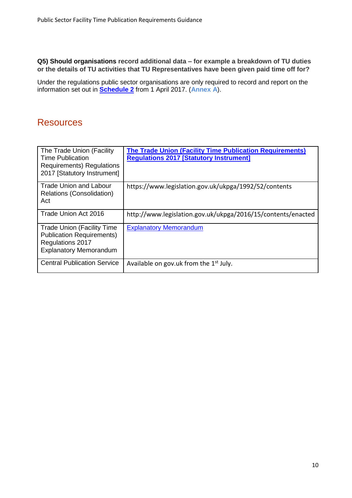**Q5) Should organisations record additional data – for example a breakdown of TU duties or the details of TU activities that TU Representatives have been given paid time off for?**

Under the regulations public sector organisations are only required to record and report on the information set out in **[Schedule 2](http://www.legislation.gov.uk/uksi/2017/328/schedule/2/made)** from 1 April 2017. (**[Annex A](#page-10-0)**).

## <span id="page-9-1"></span><span id="page-9-0"></span>**Resources**

| The Trade Union (Facility<br><b>Time Publication</b><br><b>Requirements</b> ) Regulations<br>2017 [Statutory Instrument]   | <b>The Trade Union (Facility Time Publication Requirements)</b><br><b>Regulations 2017 [Statutory Instrument]</b> |
|----------------------------------------------------------------------------------------------------------------------------|-------------------------------------------------------------------------------------------------------------------|
| Trade Union and Labour<br>Relations (Consolidation)<br>Act                                                                 | https://www.legislation.gov.uk/ukpga/1992/52/contents                                                             |
| Trade Union Act 2016                                                                                                       | http://www.legislation.gov.uk/ukpga/2016/15/contents/enacted                                                      |
| <b>Trade Union (Facility Time</b><br><b>Publication Requirements)</b><br>Regulations 2017<br><b>Explanatory Memorandum</b> | <b>Explanatory Memorandum</b>                                                                                     |
| <b>Central Publication Service</b>                                                                                         | Available on gov.uk from the 1 <sup>st</sup> July.                                                                |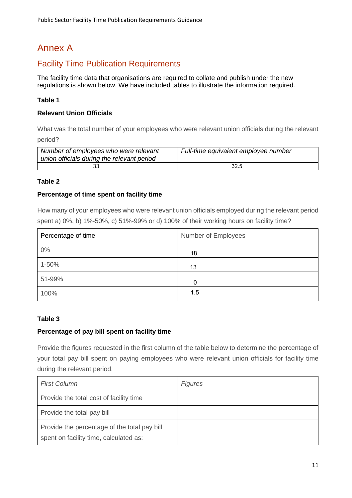# <span id="page-10-0"></span>Annex A

### <span id="page-10-1"></span>Facility Time Publication Requirements

The facility time data that organisations are required to collate and publish under the new regulations is shown below. We have included tables to illustrate the information required.

#### **Table 1**

#### **Relevant Union Officials**

What was the total number of your employees who were relevant union officials during the relevant period?

| Number of employees who were relevant<br>union officials during the relevant period | Full-time equivalent employee number |
|-------------------------------------------------------------------------------------|--------------------------------------|
|                                                                                     | 32.5                                 |

#### **Table 2**

#### **Percentage of time spent on facility time**

How many of your employees who were relevant union officials employed during the relevant period spent a) 0%, b) 1%-50%, c) 51%-99% or d) 100% of their working hours on facility time?

| Percentage of time | <b>Number of Employees</b> |
|--------------------|----------------------------|
| 0%                 | 18                         |
| 1-50%              | 13                         |
| 51-99%             | 0                          |
| 100%               | 1.5                        |

#### **Table 3**

#### **Percentage of pay bill spent on facility time**

Provide the figures requested in the first column of the table below to determine the percentage of your total pay bill spent on paying employees who were relevant union officials for facility time during the relevant period.

| <b>First Column</b>                                                                    | <b>Figures</b> |
|----------------------------------------------------------------------------------------|----------------|
| Provide the total cost of facility time                                                |                |
| Provide the total pay bill                                                             |                |
| Provide the percentage of the total pay bill<br>spent on facility time, calculated as: |                |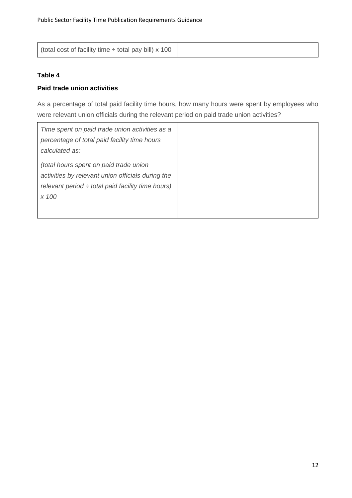| (total cost of facility time $\div$ total pay bill) x 100 |  |
|-----------------------------------------------------------|--|
|-----------------------------------------------------------|--|

#### **Table 4**

#### **Paid trade union activities**

As a percentage of total paid facility time hours, how many hours were spent by employees who were relevant union officials during the relevant period on paid trade union activities?

| Time spent on paid trade union activities as a         |
|--------------------------------------------------------|
| percentage of total paid facility time hours           |
| calculated as:                                         |
| (total hours spent on paid trade union                 |
| activities by relevant union officials during the      |
| relevant period $\div$ total paid facility time hours) |
| x 100                                                  |
|                                                        |
|                                                        |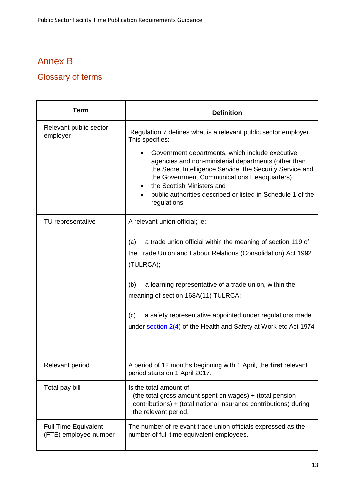# <span id="page-12-0"></span>Annex B

# <span id="page-12-1"></span>Glossary of terms

| <b>Term</b>                                          | <b>Definition</b>                                                                                                                                                                                                                                                                                                                                                                               |
|------------------------------------------------------|-------------------------------------------------------------------------------------------------------------------------------------------------------------------------------------------------------------------------------------------------------------------------------------------------------------------------------------------------------------------------------------------------|
| Relevant public sector<br>employer                   | Regulation 7 defines what is a relevant public sector employer.<br>This specifies:                                                                                                                                                                                                                                                                                                              |
|                                                      | Government departments, which include executive<br>agencies and non-ministerial departments (other than<br>the Secret Intelligence Service, the Security Service and<br>the Government Communications Headquarters)<br>the Scottish Ministers and<br>public authorities described or listed in Schedule 1 of the<br>٠<br>regulations                                                            |
| TU representative                                    | A relevant union official; ie:                                                                                                                                                                                                                                                                                                                                                                  |
|                                                      | a trade union official within the meaning of section 119 of<br>(a)<br>the Trade Union and Labour Relations (Consolidation) Act 1992<br>(TULRCA);<br>a learning representative of a trade union, within the<br>(b)<br>meaning of section 168A(11) TULRCA;<br>a safety representative appointed under regulations made<br>(c)<br>under section 2(4) of the Health and Safety at Work etc Act 1974 |
| Relevant period                                      | A period of 12 months beginning with 1 April, the first relevant<br>period starts on 1 April 2017.                                                                                                                                                                                                                                                                                              |
| Total pay bill                                       | Is the total amount of<br>(the total gross amount spent on wages) + (total pension<br>contributions) + (total national insurance contributions) during<br>the relevant period.                                                                                                                                                                                                                  |
| <b>Full Time Equivalent</b><br>(FTE) employee number | The number of relevant trade union officials expressed as the<br>number of full time equivalent employees.                                                                                                                                                                                                                                                                                      |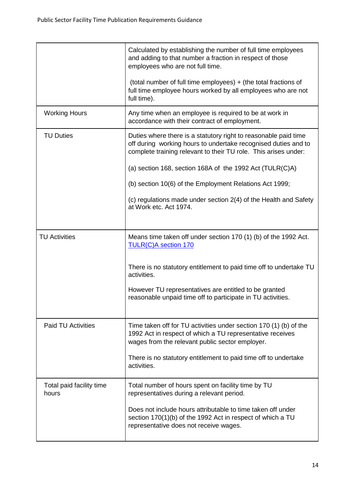|                                   | Calculated by establishing the number of full time employees<br>and adding to that number a fraction in respect of those<br>employees who are not full time.                                         |
|-----------------------------------|------------------------------------------------------------------------------------------------------------------------------------------------------------------------------------------------------|
|                                   | (total number of full time employees) + (the total fractions of<br>full time employee hours worked by all employees who are not<br>full time).                                                       |
| <b>Working Hours</b>              | Any time when an employee is required to be at work in<br>accordance with their contract of employment.                                                                                              |
| <b>TU Duties</b>                  | Duties where there is a statutory right to reasonable paid time<br>off during working hours to undertake recognised duties and to<br>complete training relevant to their TU role. This arises under: |
|                                   | (a) section 168, section 168A of the 1992 Act (TULR(C)A)                                                                                                                                             |
|                                   | (b) section 10(6) of the Employment Relations Act 1999;                                                                                                                                              |
|                                   | (c) regulations made under section 2(4) of the Health and Safety<br>at Work etc. Act 1974.                                                                                                           |
|                                   |                                                                                                                                                                                                      |
| <b>TU Activities</b>              | Means time taken off under section 170 (1) (b) of the 1992 Act.<br><b>TULR(C)A section 170</b>                                                                                                       |
|                                   | There is no statutory entitlement to paid time off to undertake TU<br>activities.                                                                                                                    |
|                                   | However TU representatives are entitled to be granted<br>reasonable unpaid time off to participate in TU activities.                                                                                 |
| <b>Paid TU Activities</b>         | Time taken off for TU activities under section 170 (1) (b) of the<br>1992 Act in respect of which a TU representative receives<br>wages from the relevant public sector employer.                    |
|                                   | There is no statutory entitlement to paid time off to undertake<br>activities.                                                                                                                       |
| Total paid facility time<br>hours | Total number of hours spent on facility time by TU<br>representatives during a relevant period.                                                                                                      |
|                                   | Does not include hours attributable to time taken off under<br>section 170(1)(b) of the 1992 Act in respect of which a TU<br>representative does not receive wages.                                  |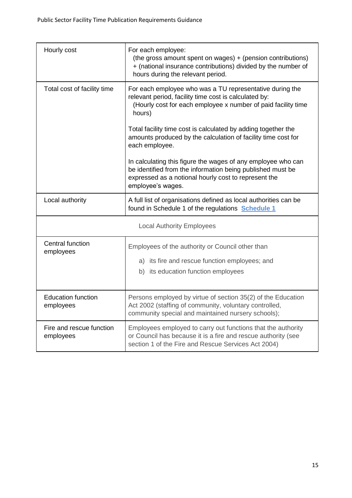| Hourly cost                            | For each employee:<br>(the gross amount spent on wages) + (pension contributions)<br>+ (national insurance contributions) divided by the number of<br>hours during the relevant period.                 |  |
|----------------------------------------|---------------------------------------------------------------------------------------------------------------------------------------------------------------------------------------------------------|--|
| Total cost of facility time            | For each employee who was a TU representative during the<br>relevant period, facility time cost is calculated by:<br>(Hourly cost for each employee x number of paid facility time<br>hours)            |  |
|                                        | Total facility time cost is calculated by adding together the<br>amounts produced by the calculation of facility time cost for<br>each employee.                                                        |  |
|                                        | In calculating this figure the wages of any employee who can<br>be identified from the information being published must be<br>expressed as a notional hourly cost to represent the<br>employee's wages. |  |
| Local authority                        | A full list of organisations defined as local authorities can be<br>found in Schedule 1 of the regulations <b>Schedule 1</b>                                                                            |  |
| <b>Local Authority Employees</b>       |                                                                                                                                                                                                         |  |
| Central function<br>employees          | Employees of the authority or Council other than<br>a) its fire and rescue function employees; and<br>b) its education function employees                                                               |  |
| <b>Education function</b><br>employees | Persons employed by virtue of section 35(2) of the Education<br>Act 2002 (staffing of community, voluntary controlled,<br>community special and maintained nursery schools);                            |  |
| Fire and rescue function<br>employees  | Employees employed to carry out functions that the authority<br>or Council has because it is a fire and rescue authority (see<br>section 1 of the Fire and Rescue Services Act 2004)                    |  |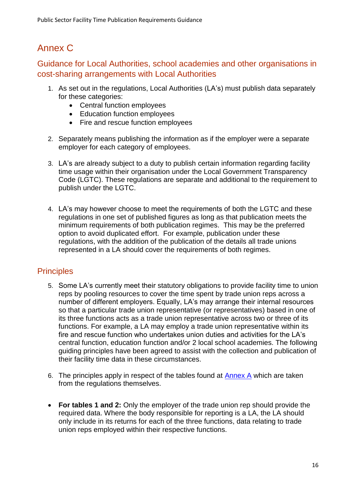# <span id="page-15-0"></span>Annex C

<span id="page-15-1"></span>Guidance for Local Authorities, school academies and other organisations in cost-sharing arrangements with Local Authorities

- 1. As set out in the regulations, Local Authorities (LA's) must publish data separately for these categories:
	- Central function employees
	- Education function employees
	- Fire and rescue function employees
- 2. Separately means publishing the information as if the employer were a separate employer for each category of employees.
- 3. LA's are already subject to a duty to publish certain information regarding facility time usage within their organisation under the Local Government Transparency Code (LGTC). These regulations are separate and additional to the requirement to publish under the LGTC.
- 4. LA's may however choose to meet the requirements of both the LGTC and these regulations in one set of published figures as long as that publication meets the minimum requirements of both publication regimes. This may be the preferred option to avoid duplicated effort. For example, publication under these regulations, with the addition of the publication of the details all trade unions represented in a LA should cover the requirements of both regimes.

# <span id="page-15-2"></span>**Principles**

- 5. Some LA's currently meet their statutory obligations to provide facility time to union reps by pooling resources to cover the time spent by trade union reps across a number of different employers. Equally, LA's may arrange their internal resources so that a particular trade union representative (or representatives) based in one of its three functions acts as a trade union representative across two or three of its functions. For example, a LA may employ a trade union representative within its fire and rescue function who undertakes union duties and activities for the LA's central function, education function and/or 2 local school academies. The following guiding principles have been agreed to assist with the collection and publication of their facility time data in these circumstances.
- 6. The principles apply in respect of the tables found at [Annex A](#page-10-0) which are taken from the regulations themselves.
- **For tables 1 and 2:** Only the employer of the trade union rep should provide the required data. Where the body responsible for reporting is a LA, the LA should only include in its returns for each of the three functions, data relating to trade union reps employed within their respective functions.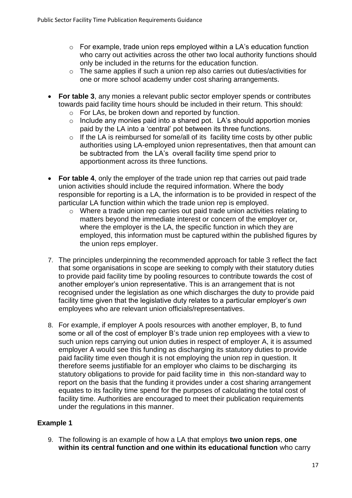- o For example, trade union reps employed within a LA's education function who carry out activities across the other two local authority functions should only be included in the returns for the education function.
- o The same applies if such a union rep also carries out duties/activities for one or more school academy under cost sharing arrangements.
- **For table 3**, any monies a relevant public sector employer spends or contributes towards paid facility time hours should be included in their return. This should:
	- o For LAs, be broken down and reported by function.
	- o Include any monies paid into a shared pot. LA's should apportion monies paid by the LA into a 'central' pot between its three functions.
	- $\circ$  If the LA is reimbursed for some/all of its facility time costs by other public authorities using LA-employed union representatives, then that amount can be subtracted from the LA's overall facility time spend prior to apportionment across its three functions.
- **For table 4**, only the employer of the trade union rep that carries out paid trade union activities should include the required information. Where the body responsible for reporting is a LA, the information is to be provided in respect of the particular LA function within which the trade union rep is employed.
	- o Where a trade union rep carries out paid trade union activities relating to matters beyond the immediate interest or concern of the employer or, where the employer is the LA, the specific function in which they are employed, this information must be captured within the published figures by the union reps employer.
- 7. The principles underpinning the recommended approach for table 3 reflect the fact that some organisations in scope are seeking to comply with their statutory duties to provide paid facility time by pooling resources to contribute towards the cost of another employer's union representative. This is an arrangement that is not recognised under the legislation as one which discharges the duty to provide paid facility time given that the legislative duty relates to a particular employer's *own* employees who are relevant union officials/representatives.
- 8. For example, if employer A pools resources with another employer, B, to fund some or all of the cost of employer B's trade union rep employees with a view to such union reps carrying out union duties in respect of employer A, it is assumed employer A would see this funding as discharging its statutory duties to provide paid facility time even though it is not employing the union rep in question. It therefore seems justifiable for an employer who claims to be discharging its statutory obligations to provide for paid facility time in this non-standard way to report on the basis that the funding it provides under a cost sharing arrangement equates to its facility time spend for the purposes of calculating the total cost of facility time. Authorities are encouraged to meet their publication requirements under the regulations in this manner.

### **Example 1**

9. The following is an example of how a LA that employs **two union reps**, **one within its central function and one within its educational function** who carry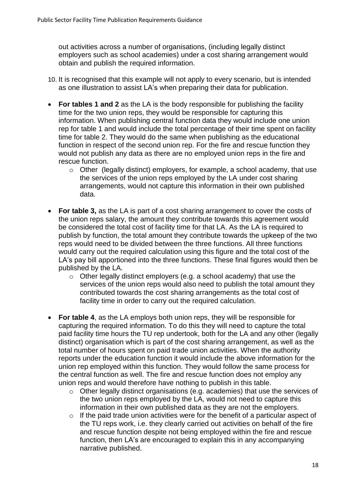out activities across a number of organisations, (including legally distinct employers such as school academies) under a cost sharing arrangement would obtain and publish the required information.

- 10. It is recognised that this example will not apply to every scenario, but is intended as one illustration to assist LA's when preparing their data for publication.
- **For tables 1 and 2** as the LA is the body responsible for publishing the facility time for the two union reps, they would be responsible for capturing this information. When publishing central function data they would include one union rep for table 1 and would include the total percentage of their time spent on facility time for table 2. They would do the same when publishing as the educational function in respect of the second union rep. For the fire and rescue function they would not publish any data as there are no employed union reps in the fire and rescue function.
	- $\circ$  Other (legally distinct) employers, for example, a school academy, that use the services of the union reps employed by the LA under cost sharing arrangements, would not capture this information in their own published data.
- **For table 3,** as the LA is part of a cost sharing arrangement to cover the costs of the union reps salary, the amount they contribute towards this agreement would be considered the total cost of facility time for that LA. As the LA is required to publish by function, the total amount they contribute towards the upkeep of the two reps would need to be divided between the three functions. All three functions would carry out the required calculation using this figure and the total cost of the LA's pay bill apportioned into the three functions. These final figures would then be published by the LA.
	- o Other legally distinct employers (e.g. a school academy) that use the services of the union reps would also need to publish the total amount they contributed towards the cost sharing arrangements as the total cost of facility time in order to carry out the required calculation.
- **For table 4**, as the LA employs both union reps, they will be responsible for capturing the required information. To do this they will need to capture the total paid facility time hours the TU rep undertook, both for the LA and any other (legally distinct) organisation which is part of the cost sharing arrangement, as well as the total number of hours spent on paid trade union activities. When the authority reports under the education function it would include the above information for the union rep employed within this function. They would follow the same process for the central function as well. The fire and rescue function does not employ any union reps and would therefore have nothing to publish in this table.
	- o Other legally distinct organisations (e.g. academies) that use the services of the two union reps employed by the LA, would not need to capture this information in their own published data as they are not the employers.
	- $\circ$  If the paid trade union activities were for the benefit of a particular aspect of the TU reps work, i.e. they clearly carried out activities on behalf of the fire and rescue function despite not being employed within the fire and rescue function, then LA's are encouraged to explain this in any accompanying narrative published.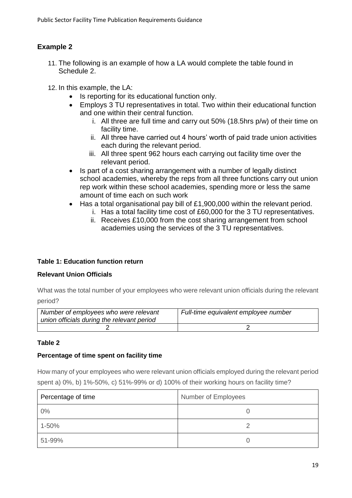### **Example 2**

- 11. The following is an example of how a LA would complete the table found in Schedule 2.
- 12. In this example, the LA:
	- Is reporting for its educational function only.
	- Employs 3 TU representatives in total. Two within their educational function and one within their central function.
		- i. All three are full time and carry out 50% (18.5hrs p/w) of their time on facility time.
		- ii. All three have carried out 4 hours' worth of paid trade union activities each during the relevant period.
		- iii. All three spent 962 hours each carrying out facility time over the relevant period.
	- Is part of a cost sharing arrangement with a number of legally distinct school academies, whereby the reps from all three functions carry out union rep work within these school academies, spending more or less the same amount of time each on such work
	- Has a total organisational pay bill of £1,900,000 within the relevant period.
		- i. Has a total facility time cost of £60,000 for the 3 TU representatives.
		- ii. Receives £10,000 from the cost sharing arrangement from school academies using the services of the 3 TU representatives.

#### **Table 1: Education function return**

#### **Relevant Union Officials**

What was the total number of your employees who were relevant union officials during the relevant period?

*Number of employees who were relevant union officials during the relevant period Full-time equivalent employee number* 2 2

#### **Table 2**

#### **Percentage of time spent on facility time**

How many of your employees who were relevant union officials employed during the relevant period spent a) 0%, b) 1%-50%, c) 51%-99% or d) 100% of their working hours on facility time?

| Percentage of time | <b>Number of Employees</b> |
|--------------------|----------------------------|
| $0\%$              |                            |
| 1-50%              |                            |
| 51-99%             |                            |